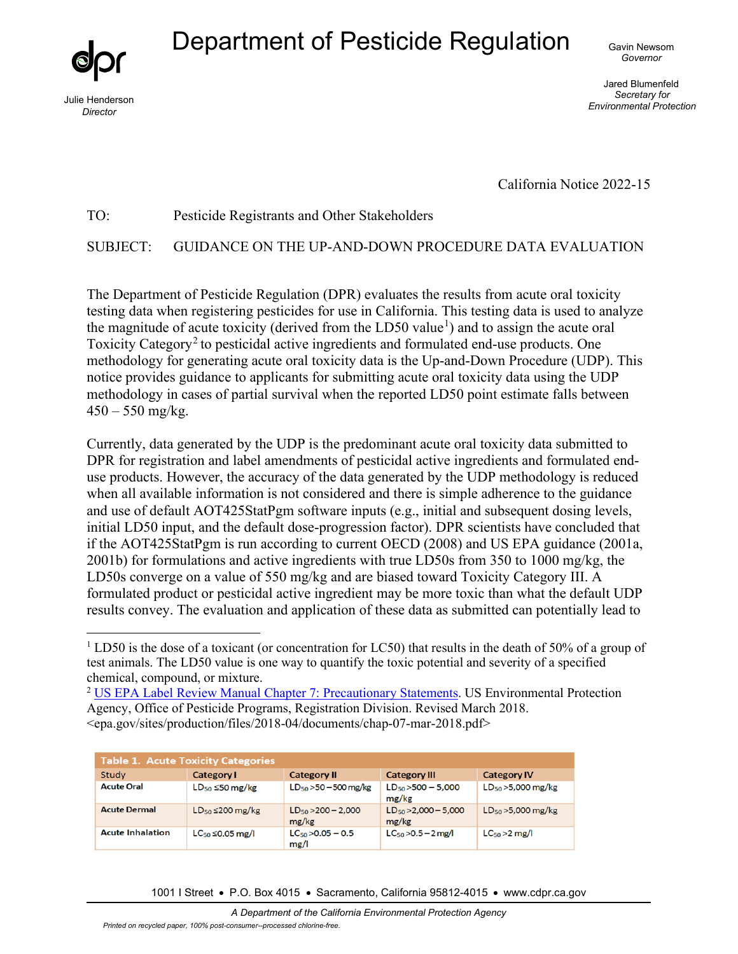# Department of Pesticide Regulation Gavin Newsom



*Director* 

*Governor* 

Jared Blumenfeld *Secretary for Environmental Protection* Julie Henderson

California Notice 2022-15

#### TO: Pesticide Registrants and Other Stakeholders

SUBJECT: GUIDANCE ON THE UP-AND-DOWN PROCEDURE DATA EVALUATION

 methodology for generating acute oral toxicity data is the Up-and-Down Procedure (UDP). This The Department of Pesticide Regulation (DPR) evaluates the results from acute oral toxicity testing data when registering pesticides for use in California. This testing data is used to analyze the magnitude of acute toxicity (derived from the LD50 value<sup>[1](#page-0-0)</sup>) and to assign the acute oral Toxicity Category<sup>[2](#page-0-1)</sup> to pesticidal active ingredients and formulated end-use products. One notice provides guidance to applicants for submitting acute oral toxicity data using the UDP methodology in cases of partial survival when the reported LD50 point estimate falls between  $450 - 550$  mg/kg.

Currently, data generated by the UDP is the predominant acute oral toxicity data submitted to DPR for registration and label amendments of pesticidal active ingredients and formulated enduse products. However, the accuracy of the data generated by the UDP methodology is reduced when all available information is not considered and there is simple adherence to the guidance and use of default AOT425StatPgm software inputs (e.g., initial and subsequent dosing levels, initial LD50 input, and the default dose-progression factor). DPR scientists have concluded that if the AOT425StatPgm is run according to current OECD (2008) and US EPA guidance (2001a, 2001b) for formulations and active ingredients with true LD50s from 350 to 1000 mg/kg, the LD50s converge on a value of 550 mg/kg and are biased toward Toxicity Category III. A formulated product or pesticidal active ingredient may be more toxic than what the default UDP results convey. The evaluation and application of these data as submitted can potentially lead to

<span id="page-0-1"></span><sup>&</sup>lt;sup>2</sup> [US EPA Label Review Manual Chapter 7: Precautionary Statements.](https://www.epa.gov/sites/production/files/2018-04/documents/chap-07-mar-2018.pdf) US Environmental Protection Agency, Office of Pesticide Programs, Registration Division. Revised March 2018. <epa.gov/sites/production/files/2018-04/documents/chap-07-mar-2018.pdf>

| <b>Table 1. Acute Toxicity Categories</b> |                            |                                  |                                    |                         |  |  |  |
|-------------------------------------------|----------------------------|----------------------------------|------------------------------------|-------------------------|--|--|--|
| Study                                     | <b>Category I</b>          | <b>Category II</b>               | <b>Category III</b>                | <b>Category IV</b>      |  |  |  |
| <b>Acute Oral</b>                         | $LD_{50} \leq 50$ mg/kg    | $LD_{50}$ > 50 - 500 mg/kg       | $LD_{50}$ > 500 - 5,000<br>mg/kg   | $LD_{50}$ > 5,000 mg/kg |  |  |  |
| <b>Acute Dermal</b>                       | $LD_{50} \leq 200$ mg/kg   | $LD_{50} > 200 - 2,000$<br>mg/kg | $LD_{50} > 2,000 - 5,000$<br>mg/kg | $LD_{50} > 5,000$ mg/kg |  |  |  |
| <b>Acute Inhalation</b>                   | $LC_{50}$ $\leq$ 0.05 mg/l | $LC_{50}$ > 0.05 - 0.5<br>mg/l   | $LC_{50} > 0.5 - 2$ mg/l           | $LC50 > 2$ mg/l         |  |  |  |

1001 I Street • P.O. Box 4015 • Sacramento, California 95812-4015 • www.cdpr.ca.gov

<span id="page-0-0"></span> $1$  LD50 is the dose of a toxicant (or concentration for LC50) that results in the death of 50% of a group of test animals. The LD50 value is one way to quantify the toxic potential and severity of a specified chemical, compound, or mixture.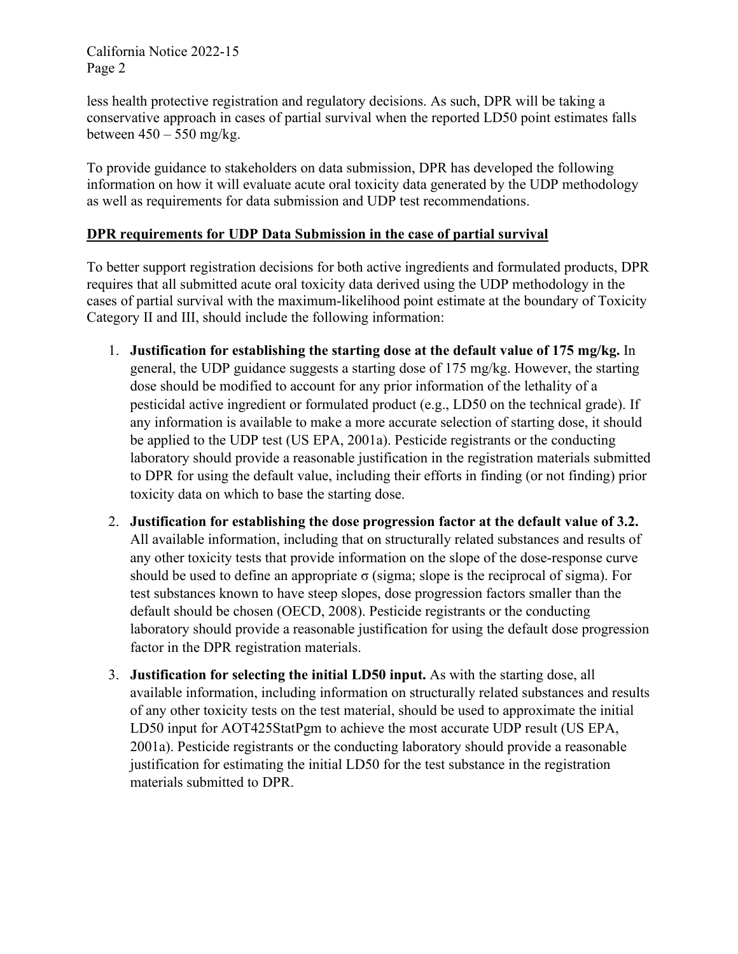California Notice 2022-15 Page 2

less health protective registration and regulatory decisions. As such, DPR will be taking a conservative approach in cases of partial survival when the reported LD50 point estimates falls between  $450 - 550$  mg/kg.

To provide guidance to stakeholders on data submission, DPR has developed the following information on how it will evaluate acute oral toxicity data generated by the UDP methodology as well as requirements for data submission and UDP test recommendations.

## **DPR requirements for UDP Data Submission in the case of partial survival**

To better support registration decisions for both active ingredients and formulated products, DPR requires that all submitted acute oral toxicity data derived using the UDP methodology in the cases of partial survival with the maximum-likelihood point estimate at the boundary of Toxicity Category II and III, should include the following information:

- 1. **Justification for establishing the starting dose at the default value of 175 mg/kg.** In general, the UDP guidance suggests a starting dose of 175 mg/kg. However, the starting dose should be modified to account for any prior information of the lethality of a pesticidal active ingredient or formulated product (e.g., LD50 on the technical grade). If any information is available to make a more accurate selection of starting dose, it should be applied to the UDP test (US EPA, 2001a). Pesticide registrants or the conducting laboratory should provide a reasonable justification in the registration materials submitted to DPR for using the default value, including their efforts in finding (or not finding) prior toxicity data on which to base the starting dose.
- 2. **Justification for establishing the dose progression factor at the default value of 3.2.**  All available information, including that on structurally related substances and results of any other toxicity tests that provide information on the slope of the dose-response curve should be used to define an appropriate  $\sigma$  (sigma; slope is the reciprocal of sigma). For test substances known to have steep slopes, dose progression factors smaller than the default should be chosen (OECD, 2008). Pesticide registrants or the conducting laboratory should provide a reasonable justification for using the default dose progression factor in the DPR registration materials.
- 3. **Justification for selecting the initial LD50 input.** As with the starting dose, all available information, including information on structurally related substances and results of any other toxicity tests on the test material, should be used to approximate the initial LD50 input for AOT425StatPgm to achieve the most accurate UDP result (US EPA, 2001a). Pesticide registrants or the conducting laboratory should provide a reasonable justification for estimating the initial LD50 for the test substance in the registration materials submitted to DPR.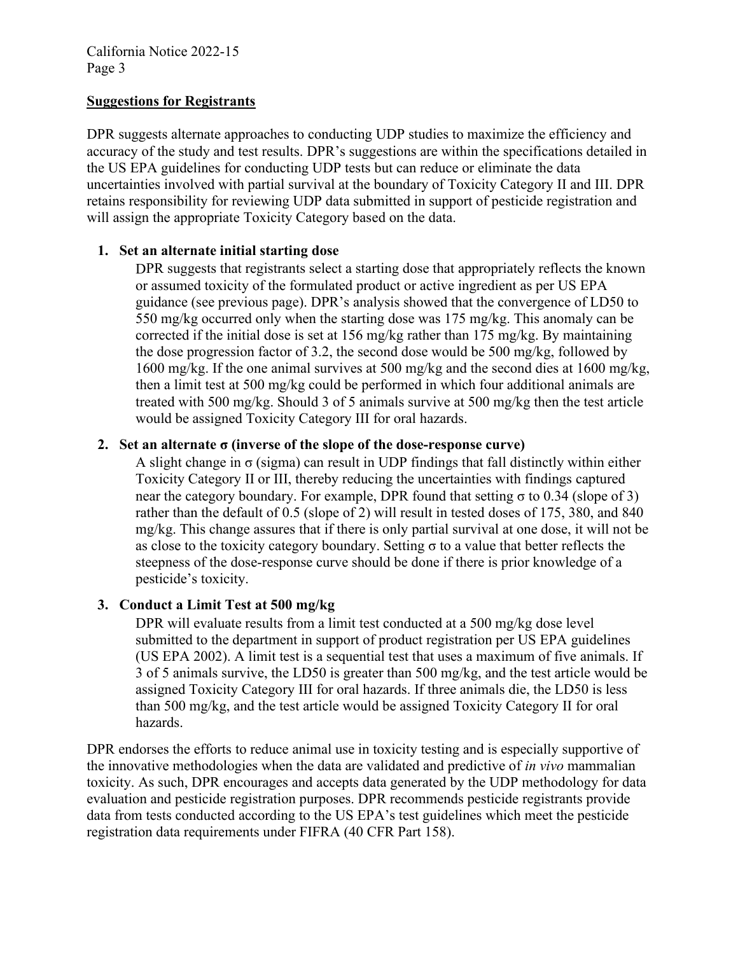## **Suggestions for Registrants**

DPR suggests alternate approaches to conducting UDP studies to maximize the efficiency and accuracy of the study and test results. DPR's suggestions are within the specifications detailed in the US EPA guidelines for conducting UDP tests but can reduce or eliminate the data uncertainties involved with partial survival at the boundary of Toxicity Category II and III. DPR retains responsibility for reviewing UDP data submitted in support of pesticide registration and will assign the appropriate Toxicity Category based on the data.

## **1. Set an alternate initial starting dose**

DPR suggests that registrants select a starting dose that appropriately reflects the known or assumed toxicity of the formulated product or active ingredient as per US EPA guidance (see previous page). DPR's analysis showed that the convergence of LD50 to 550 mg/kg occurred only when the starting dose was 175 mg/kg. This anomaly can be corrected if the initial dose is set at 156 mg/kg rather than 175 mg/kg. By maintaining the dose progression factor of 3.2, the second dose would be 500 mg/kg, followed by 1600 mg/kg. If the one animal survives at 500 mg/kg and the second dies at 1600 mg/kg, then a limit test at 500 mg/kg could be performed in which four additional animals are treated with 500 mg/kg. Should 3 of 5 animals survive at 500 mg/kg then the test article would be assigned Toxicity Category III for oral hazards.

## **2. Set an alternate σ (inverse of the slope of the dose-response curve)**

A slight change in  $\sigma$  (sigma) can result in UDP findings that fall distinctly within either Toxicity Category II or III, thereby reducing the uncertainties with findings captured near the category boundary. For example, DPR found that setting  $\sigma$  to 0.34 (slope of 3) rather than the default of 0.5 (slope of 2) will result in tested doses of 175, 380, and 840 mg/kg. This change assures that if there is only partial survival at one dose, it will not be as close to the toxicity category boundary. Setting  $\sigma$  to a value that better reflects the steepness of the dose-response curve should be done if there is prior knowledge of a pesticide's toxicity.

## **3. Conduct a Limit Test at 500 mg/kg**

DPR will evaluate results from a limit test conducted at a 500 mg/kg dose level submitted to the department in support of product registration per US EPA guidelines (US EPA 2002). A limit test is a sequential test that uses a maximum of five animals. If 3 of 5 animals survive, the LD50 is greater than 500 mg/kg, and the test article would be assigned Toxicity Category III for oral hazards. If three animals die, the LD50 is less than 500 mg/kg, and the test article would be assigned Toxicity Category II for oral hazards.

DPR endorses the efforts to reduce animal use in toxicity testing and is especially supportive of the innovative methodologies when the data are validated and predictive of *in vivo* mammalian toxicity. As such, DPR encourages and accepts data generated by the UDP methodology for data evaluation and pesticide registration purposes. DPR recommends pesticide registrants provide data from tests conducted according to the US EPA's test guidelines which meet the pesticide registration data requirements under FIFRA (40 CFR Part 158).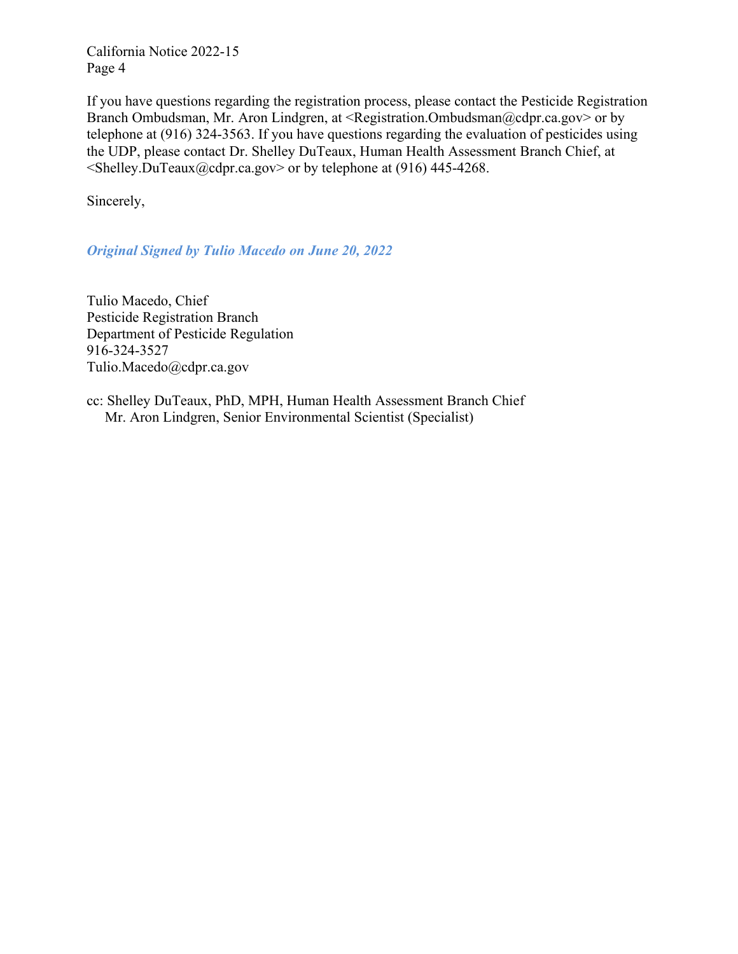California Notice 2022-15 Page 4

If you have questions regarding the registration process, please contact the Pesticide Registration Branch Ombudsman, Mr. Aron Lindgren, at <[Registration.Ombudsman@cdpr.ca.gov](mailto:Registration.Ombudsman@cdpr.ca.gov)> or by < > [Shelley.DuTeaux@cdpr.ca.gov](mailto:Shelley.DuTeaux@cdpr.ca.gov) or by telephone at (916) 445-4268. telephone at (916) 324-3563. If you have questions regarding the evaluation of pesticides using the UDP, please contact Dr. Shelley DuTeaux, Human Health Assessment Branch Chief, at

Sincerely,

*Original Signed by Tulio Macedo on June 20, 2022* 

Tulio Macedo, Chief Pesticide Registration Branch Department of Pesticide Regulation 916-324-3527 [Tulio.Macedo@cdpr.ca.gov](mailto:Tulio.Macedo@cdpr.ca.gov) 

cc: Shelley DuTeaux, PhD, MPH, Human Health Assessment Branch Chief Mr. Aron Lindgren, Senior Environmental Scientist (Specialist)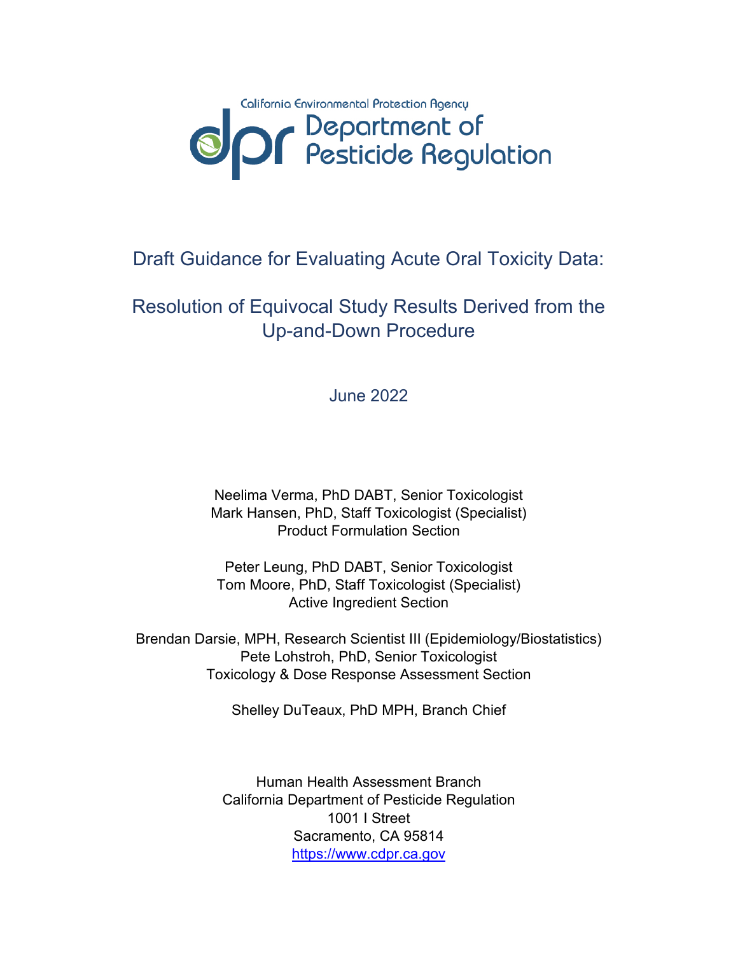

## Draft Guidance for Evaluating Acute Oral Toxicity Data:

## Resolution of Equivocal Study Results Derived from the Up-and-Down Procedure

June 2022

Neelima Verma, PhD DABT, Senior Toxicologist Mark Hansen, PhD, Staff Toxicologist (Specialist) Product Formulation Section

Peter Leung, PhD DABT, Senior Toxicologist Tom Moore, PhD, Staff Toxicologist (Specialist) Active Ingredient Section

Brendan Darsie, MPH, Research Scientist III (Epidemiology/Biostatistics) Pete Lohstroh, PhD, Senior Toxicologist Toxicology & Dose Response Assessment Section

Shelley DuTeaux, PhD MPH, Branch Chief

Human Health Assessment Branch California Department of Pesticide Regulation 1001 I Street Sacramento, CA 95814 [https://www.cdpr.ca.gov](https://www.cdpr.ca.gov/)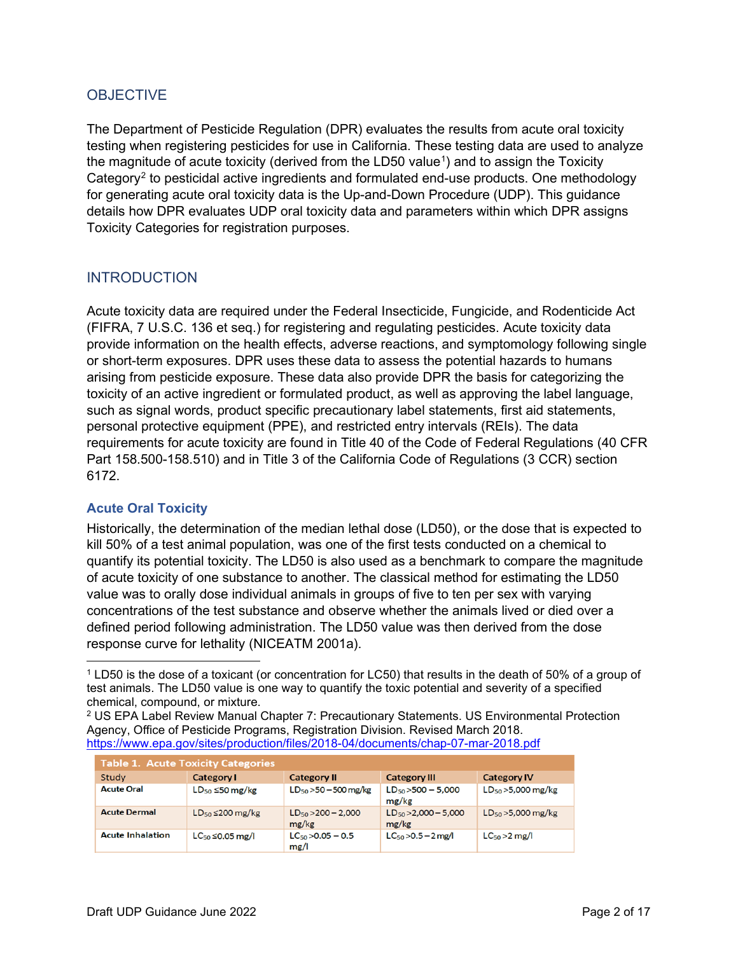## **OBJECTIVE**

The Department of Pesticide Regulation (DPR) evaluates the results from acute oral toxicity testing when registering pesticides for use in California. These testing data are used to analyze the magnitude of acute toxicity (derived from the LD50 value<sup>[1](#page-5-0)</sup>) and to assign the Toxicity Category[2](#page-5-1) to pesticidal active ingredients and formulated end-use products. One methodology for generating acute oral toxicity data is the Up-and-Down Procedure (UDP). This guidance details how DPR evaluates UDP oral toxicity data and parameters within which DPR assigns Toxicity Categories for registration purposes.

## **INTRODUCTION**

Acute toxicity data are required under the Federal Insecticide, Fungicide, and Rodenticide Act (FIFRA, 7 U.S.C. 136 et seq.) for registering and regulating pesticides. Acute toxicity data provide information on the health effects, adverse reactions, and symptomology following single or short-term exposures. DPR uses these data to assess the potential hazards to humans arising from pesticide exposure. These data also provide DPR the basis for categorizing the toxicity of an active ingredient or formulated product, as well as approving the label language, such as signal words, product specific precautionary label statements, first aid statements, personal protective equipment (PPE), and restricted entry intervals (REIs). The data requirements for acute toxicity are found in Title 40 of the Code of Federal Regulations (40 CFR Part 158.500-158.510) and in Title 3 of the California Code of Regulations (3 CCR) section 6172.

## **Acute Oral Toxicity**

Historically, the determination of the median lethal dose (LD50), or the dose that is expected to kill 50% of a test animal population, was one of the first tests conducted on a chemical to quantify its potential toxicity. The LD50 is also used as a benchmark to compare the magnitude of acute toxicity of one substance to another. The classical method for estimating the LD50 value was to orally dose individual animals in groups of five to ten per sex with varying concentrations of the test substance and observe whether the animals lived or died over a defined period following administration. The LD50 value was then derived from the dose response curve for lethality (NICEATM 2001a).

<span id="page-5-1"></span><sup>2</sup> US EPA Label Review Manual Chapter 7: Precautionary Statements. US Environmental Protection Agency, Office of Pesticide Programs, Registration Division. Revised March 2018. <https://www.epa.gov/sites/production/files/2018-04/documents/chap-07-mar-2018.pdf>

| <b>Table 1. Acute Toxicity Categories</b> |                            |                                  |                                    |                         |  |  |  |  |
|-------------------------------------------|----------------------------|----------------------------------|------------------------------------|-------------------------|--|--|--|--|
| Study                                     | Category I                 | <b>Category II</b>               | <b>Category III</b>                | <b>Category IV</b>      |  |  |  |  |
| <b>Acute Oral</b>                         | $LD_{50}$ $\leq$ 50 mg/kg  | $LD_{50} > 50 - 500$ mg/kg       | $LD_{50}$ > 500 - 5,000<br>mg/kg   | $LD_{50}$ > 5,000 mg/kg |  |  |  |  |
| <b>Acute Dermal</b>                       | $LD_{50} \leq 200$ mg/kg   | $LD_{50} > 200 - 2,000$<br>mg/kg | $LD_{50} > 2,000 - 5,000$<br>mg/kg | $LD_{50} > 5,000$ mg/kg |  |  |  |  |
| <b>Acute Inhalation</b>                   | $LC_{50}$ $\leq$ 0.05 mg/l | $LC_{50}$ > 0.05 - 0.5<br>mg/l   | $LC_{50} > 0.5 - 2$ mg/l           | $LC50 > 2$ mg/l         |  |  |  |  |

<span id="page-5-0"></span><sup>1</sup> LD50 is the dose of a toxicant (or concentration for LC50) that results in the death of 50% of a group of test animals. The LD50 value is one way to quantify the toxic potential and severity of a specified chemical, compound, or mixture.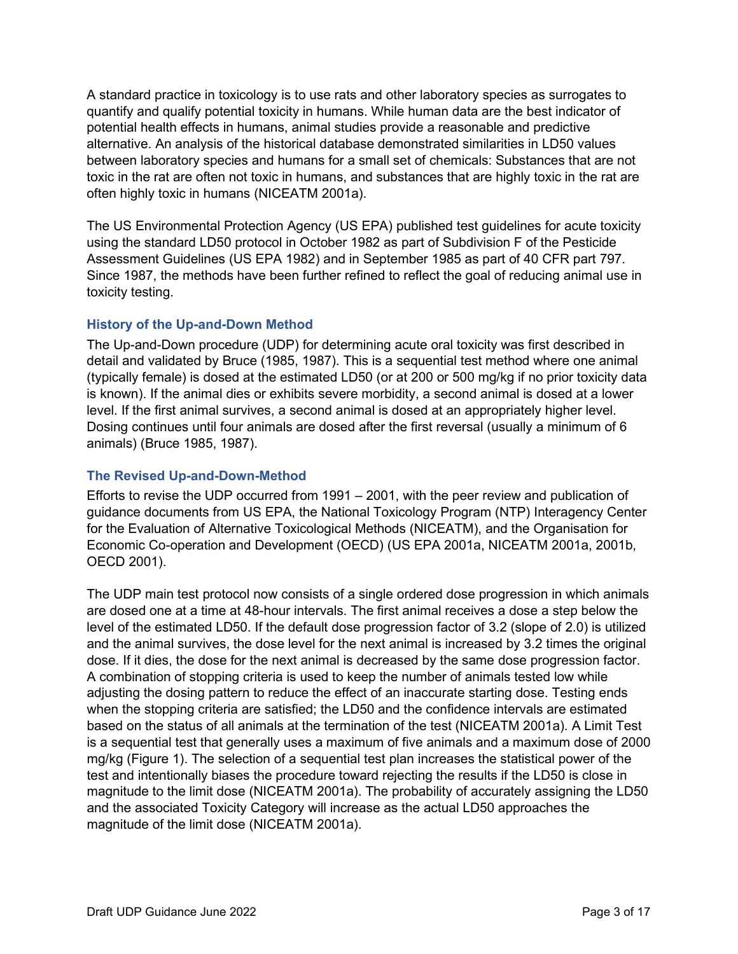A standard practice in toxicology is to use rats and other laboratory species as surrogates to quantify and qualify potential toxicity in humans. While human data are the best indicator of potential health effects in humans, animal studies provide a reasonable and predictive alternative. An analysis of the historical database demonstrated similarities in LD50 values between laboratory species and humans for a small set of chemicals: Substances that are not toxic in the rat are often not toxic in humans, and substances that are highly toxic in the rat are often highly toxic in humans (NICEATM 2001a).

The US Environmental Protection Agency (US EPA) published test guidelines for acute toxicity using the standard LD50 protocol in October 1982 as part of Subdivision F of the Pesticide Assessment Guidelines (US EPA 1982) and in September 1985 as part of 40 CFR part 797. Since 1987, the methods have been further refined to reflect the goal of reducing animal use in toxicity testing.

## **History of the Up-and-Down Method**

The Up-and-Down procedure (UDP) for determining acute oral toxicity was first described in detail and validated by Bruce (1985, 1987). This is a sequential test method where one animal (typically female) is dosed at the estimated LD50 (or at 200 or 500 mg/kg if no prior toxicity data is known). If the animal dies or exhibits severe morbidity, a second animal is dosed at a lower level. If the first animal survives, a second animal is dosed at an appropriately higher level. Dosing continues until four animals are dosed after the first reversal (usually a minimum of 6 animals) (Bruce 1985, 1987).

## **The Revised Up-and-Down-Method**

Efforts to revise the UDP occurred from 1991 – 2001, with the peer review and publication of guidance documents from US EPA, the National Toxicology Program (NTP) Interagency Center for the Evaluation of Alternative Toxicological Methods (NICEATM), and the Organisation for Economic Co-operation and Development (OECD) (US EPA 2001a, NICEATM 2001a, 2001b, OECD 2001).

The UDP main test protocol now consists of a single ordered dose progression in which animals are dosed one at a time at 48-hour intervals. The first animal receives a dose a step below the level of the estimated LD50. If the default dose progression factor of 3.2 (slope of 2.0) is utilized and the animal survives, the dose level for the next animal is increased by 3.2 times the original dose. If it dies, the dose for the next animal is decreased by the same dose progression factor. A combination of stopping criteria is used to keep the number of animals tested low while adjusting the dosing pattern to reduce the effect of an inaccurate starting dose. Testing ends when the stopping criteria are satisfied; the LD50 and the confidence intervals are estimated based on the status of all animals at the termination of the test (NICEATM 2001a). A Limit Test is a sequential test that generally uses a maximum of five animals and a maximum dose of 2000 mg/kg (Figure 1). The selection of a sequential test plan increases the statistical power of the test and intentionally biases the procedure toward rejecting the results if the LD50 is close in magnitude to the limit dose (NICEATM 2001a). The probability of accurately assigning the LD50 and the associated Toxicity Category will increase as the actual LD50 approaches the magnitude of the limit dose (NICEATM 2001a).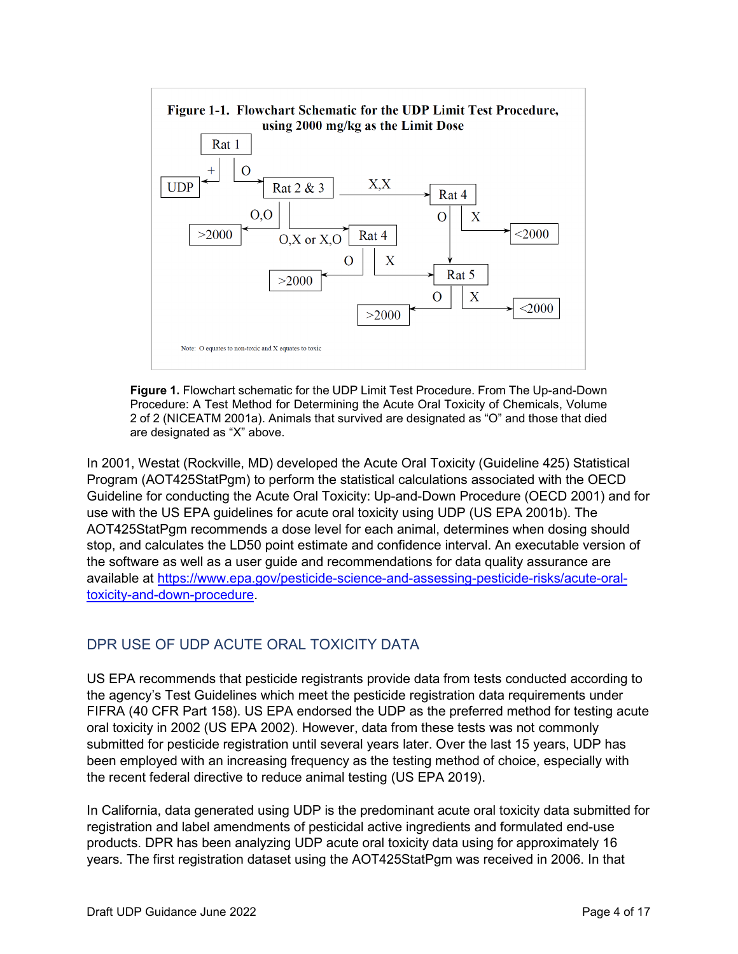

**Figure 1.** Flowchart schematic for the UDP Limit Test Procedure. From The Up-and-Down Procedure: A Test Method for Determining the Acute Oral Toxicity of Chemicals, Volume 2 of 2 (NICEATM 2001a). Animals that survived are designated as "O" and those that died are designated as "X" above.

In 2001, Westat (Rockville, MD) developed the Acute Oral Toxicity (Guideline 425) Statistical Program (AOT425StatPgm) to perform the statistical calculations associated with the OECD Guideline for conducting the Acute Oral Toxicity: Up-and-Down Procedure (OECD 2001) and for use with the US EPA guidelines for acute oral toxicity using UDP (US EPA 2001b). The AOT425StatPgm recommends a dose level for each animal, determines when dosing should stop, and calculates the LD50 point estimate and confidence interval. An executable version of the software as well as a user guide and recommendations for data quality assurance are available at [https://www.epa.gov/pesticide-science-and-assessing-pesticide-risks/acute-oral](https://www.epa.gov/pesticide-science-and-assessing-pesticide-risks/acute-oral-toxicity-and-down-procedure)[toxicity-and-down-procedure.](https://www.epa.gov/pesticide-science-and-assessing-pesticide-risks/acute-oral-toxicity-and-down-procedure)

## DPR USE OF UDP ACUTE ORAL TOXICITY DATA

US EPA recommends that pesticide registrants provide data from tests conducted according to the agency's Test Guidelines which meet the pesticide registration data requirements under FIFRA (40 CFR Part 158). US EPA endorsed the UDP as the preferred method for testing acute oral toxicity in 2002 (US EPA 2002). However, data from these tests was not commonly submitted for pesticide registration until several years later. Over the last 15 years, UDP has been employed with an increasing frequency as the testing method of choice, especially with the recent federal directive to reduce animal testing (US EPA 2019).

In California, data generated using UDP is the predominant acute oral toxicity data submitted for registration and label amendments of pesticidal active ingredients and formulated end-use products. DPR has been analyzing UDP acute oral toxicity data using for approximately 16 years. The first registration dataset using the AOT425StatPgm was received in 2006. In that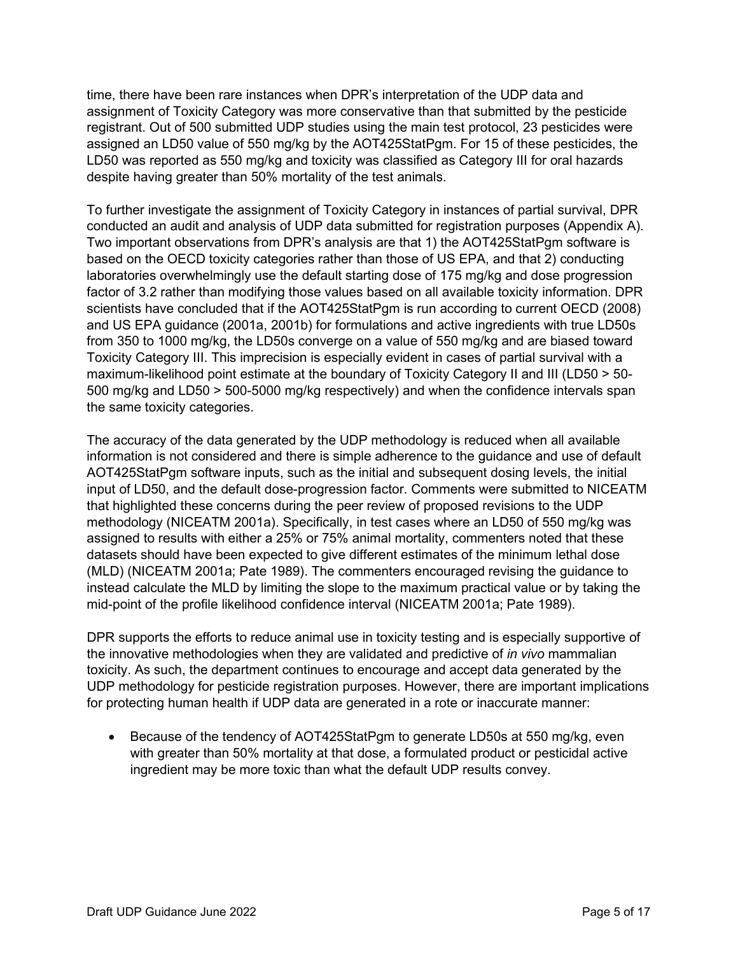time, there have been rare instances when DPR's interpretation of the UDP data and assignment of Toxicity Category was more conservative than that submitted by the pesticide registrant. Out of 500 submitted UDP studies using the main test protocol, 23 pesticides were assigned an LD50 value of 550 mg/kg by the AOT425StatPgm. For 15 of these pesticides, the LD50 was reported as 550 mg/kg and toxicity was classified as Category III for oral hazards despite having greater than 50% mortality of the test animals.

To further investigate the assignment of Toxicity Category in instances of partial survival, DPR conducted an audit and analysis of UDP data submitted for registration purposes (Appendix A). Two important observations from DPR's analysis are that 1) the AOT425StatPgm software is based on the OECD toxicity categories rather than those of US EPA, and that 2) conducting laboratories overwhelmingly use the default starting dose of 175 mg/kg and dose progression factor of 3.2 rather than modifying those values based on all available toxicity information. DPR scientists have concluded that if the AOT425StatPgm is run according to current OECD (2008) and US EPA guidance (2001a, 2001b) for formulations and active ingredients with true LD50s from 350 to 1000 mg/kg, the LD50s converge on a value of 550 mg/kg and are biased toward Toxicity Category III. This imprecision is especially evident in cases of partial survival with a maximum-likelihood point estimate at the boundary of Toxicity Category II and III (LD50 > 50- 500 mg/kg and LD50 > 500-5000 mg/kg respectively) and when the confidence intervals span the same toxicity categories.

The accuracy of the data generated by the UDP methodology is reduced when all available information is not considered and there is simple adherence to the guidance and use of default AOT425StatPgm software inputs, such as the initial and subsequent dosing levels, the initial input of LD50, and the default dose-progression factor. Comments were submitted to NICEATM that highlighted these concerns during the peer review of proposed revisions to the UDP methodology (NICEATM 2001a). Specifically, in test cases where an LD50 of 550 mg/kg was assigned to results with either a 25% or 75% animal mortality, commenters noted that these datasets should have been expected to give different estimates of the minimum lethal dose (MLD) (NICEATM 2001a; Pate 1989). The commenters encouraged revising the guidance to instead calculate the MLD by limiting the slope to the maximum practical value or by taking the mid-point of the profile likelihood confidence interval (NICEATM 2001a; Pate 1989).

DPR supports the efforts to reduce animal use in toxicity testing and is especially supportive of the innovative methodologies when they are validated and predictive of *in vivo* mammalian toxicity. As such, the department continues to encourage and accept data generated by the UDP methodology for pesticide registration purposes. However, there are important implications for protecting human health if UDP data are generated in a rote or inaccurate manner:

• Because of the tendency of AOT425StatPgm to generate LD50s at 550 mg/kg, even with greater than 50% mortality at that dose, a formulated product or pesticidal active ingredient may be more toxic than what the default UDP results convey.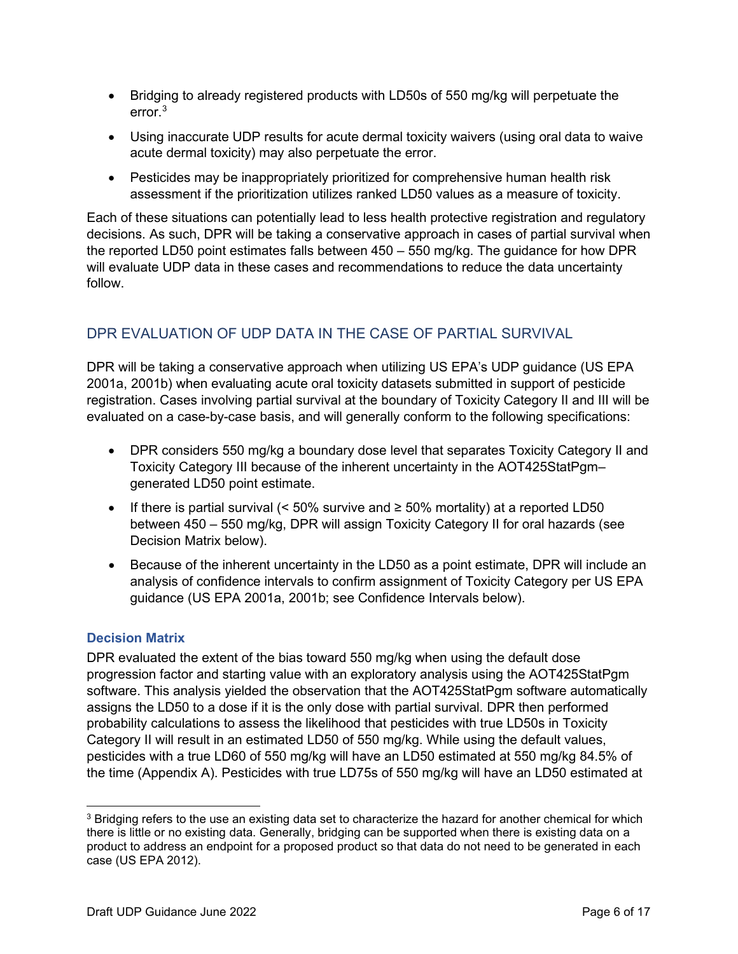- Bridging to already registered products with LD50s of 550 mg/kg will perpetuate the error. [3](#page-9-0)
- Using inaccurate UDP results for acute dermal toxicity waivers (using oral data to waive acute dermal toxicity) may also perpetuate the error.
- Pesticides may be inappropriately prioritized for comprehensive human health risk assessment if the prioritization utilizes ranked LD50 values as a measure of toxicity.

Each of these situations can potentially lead to less health protective registration and regulatory decisions. As such, DPR will be taking a conservative approach in cases of partial survival when the reported LD50 point estimates falls between 450 – 550 mg/kg. The guidance for how DPR will evaluate UDP data in these cases and recommendations to reduce the data uncertainty follow.

## DPR EVALUATION OF UDP DATA IN THE CASE OF PARTIAL SURVIVAL

DPR will be taking a conservative approach when utilizing US EPA's UDP guidance (US EPA 2001a, 2001b) when evaluating acute oral toxicity datasets submitted in support of pesticide registration. Cases involving partial survival at the boundary of Toxicity Category II and III will be evaluated on a case-by-case basis, and will generally conform to the following specifications:

- DPR considers 550 mg/kg a boundary dose level that separates Toxicity Category II and Toxicity Category III because of the inherent uncertainty in the AOT425StatPgm– generated LD50 point estimate.
- If there is partial survival  $\langle$  < 50% survive and  $\ge$  50% mortality) at a reported LD50 between 450 – 550 mg/kg, DPR will assign Toxicity Category II for oral hazards (see Decision Matrix below).
- Because of the inherent uncertainty in the LD50 as a point estimate, DPR will include an analysis of confidence intervals to confirm assignment of Toxicity Category per US EPA guidance (US EPA 2001a, 2001b; see Confidence Intervals below).

## **Decision Matrix**

DPR evaluated the extent of the bias toward 550 mg/kg when using the default dose progression factor and starting value with an exploratory analysis using the AOT425StatPgm software. This analysis yielded the observation that the AOT425StatPgm software automatically assigns the LD50 to a dose if it is the only dose with partial survival. DPR then performed probability calculations to assess the likelihood that pesticides with true LD50s in Toxicity Category II will result in an estimated LD50 of 550 mg/kg. While using the default values, pesticides with a true LD60 of 550 mg/kg will have an LD50 estimated at 550 mg/kg 84.5% of the time (Appendix A). Pesticides with true LD75s of 550 mg/kg will have an LD50 estimated at

<span id="page-9-0"></span><sup>&</sup>lt;sup>3</sup> Bridging refers to the use an existing data set to characterize the hazard for another chemical for which there is little or no existing data. Generally, bridging can be supported when there is existing data on a product to address an endpoint for a proposed product so that data do not need to be generated in each case (US EPA 2012).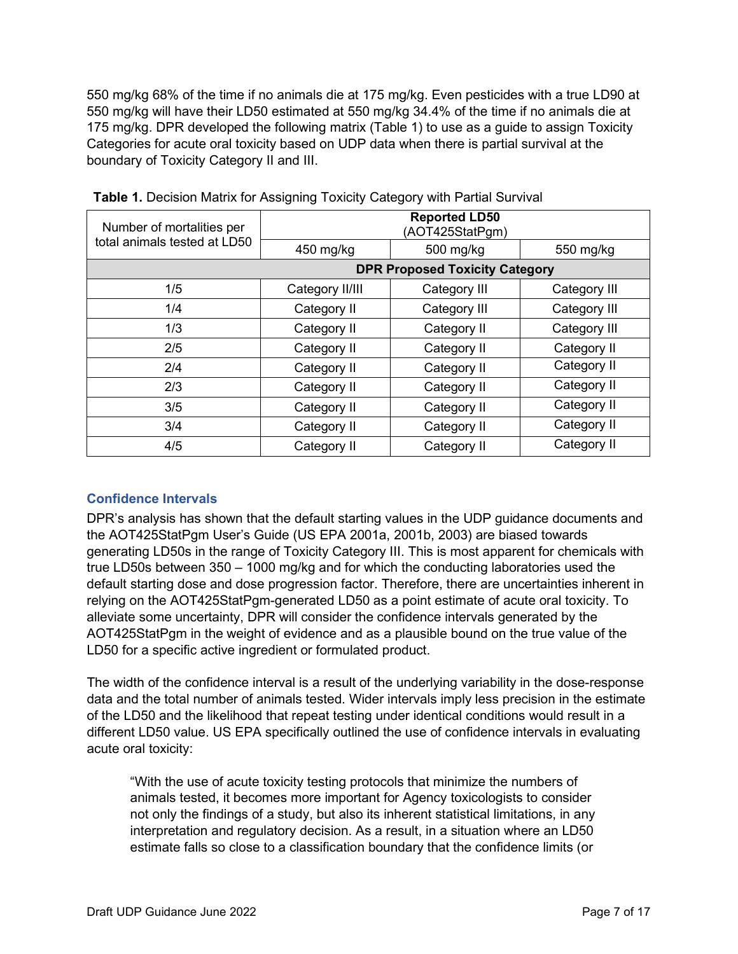550 mg/kg will have their LD50 estimated at 550 mg/kg 34.4% of the time if no animals die at 175 mg/kg. DPR developed the following matrix (Table 1) to use as a guide to assign Toxicity 550 mg/kg 68% of the time if no animals die at 175 mg/kg. Even pesticides with a true LD90 at Categories for acute oral toxicity based on UDP data when there is partial survival at the boundary of Toxicity Category II and III.

| Number of mortalities per    | <b>Reported LD50</b><br>(AOT425StatPgm) |                                       |              |  |  |
|------------------------------|-----------------------------------------|---------------------------------------|--------------|--|--|
| total animals tested at LD50 | 450 mg/kg<br>500 mg/kg                  |                                       | 550 mg/kg    |  |  |
|                              |                                         | <b>DPR Proposed Toxicity Category</b> |              |  |  |
| 1/5                          | Category II/III                         | Category III                          | Category III |  |  |
| 1/4                          | Category II                             | Category III                          | Category III |  |  |
| 1/3                          | Category II                             | Category II                           | Category III |  |  |
| 2/5                          | Category II                             | Category II                           | Category II  |  |  |
| 2/4                          | Category II                             | Category II                           | Category II  |  |  |
| 2/3                          | Category II                             | Category II                           | Category II  |  |  |
| 3/5                          | Category II                             | Category II                           | Category II  |  |  |
| 3/4                          | Category II                             | Category II                           | Category II  |  |  |
| 4/5                          | Category II                             | Category II                           | Category II  |  |  |

**Table 1.** Decision Matrix for Assigning Toxicity Category with Partial Survival

## **Confidence Intervals**

 generating LD50s in the range of Toxicity Category III. This is most apparent for chemicals with default starting dose and dose progression factor. Therefore, there are uncertainties inherent in alleviate some uncertainty, DPR will consider the confidence intervals generated by the DPR's analysis has shown that the default starting values in the UDP guidance documents and the AOT425StatPgm User's Guide (US EPA 2001a, 2001b, 2003) are biased towards true LD50s between 350 – 1000 mg/kg and for which the conducting laboratories used the relying on the AOT425StatPgm-generated LD50 as a point estimate of acute oral toxicity. To AOT425StatPgm in the weight of evidence and as a plausible bound on the true value of the LD50 for a specific active ingredient or formulated product.

The width of the confidence interval is a result of the underlying variability in the dose-response data and the total number of animals tested. Wider intervals imply less precision in the estimate of the LD50 and the likelihood that repeat testing under identical conditions would result in a different LD50 value. US EPA specifically outlined the use of confidence intervals in evaluating acute oral toxicity:

"With the use of acute toxicity testing protocols that minimize the numbers of animals tested, it becomes more important for Agency toxicologists to consider not only the findings of a study, but also its inherent statistical limitations, in any interpretation and regulatory decision. As a result, in a situation where an LD50 estimate falls so close to a classification boundary that the confidence limits (or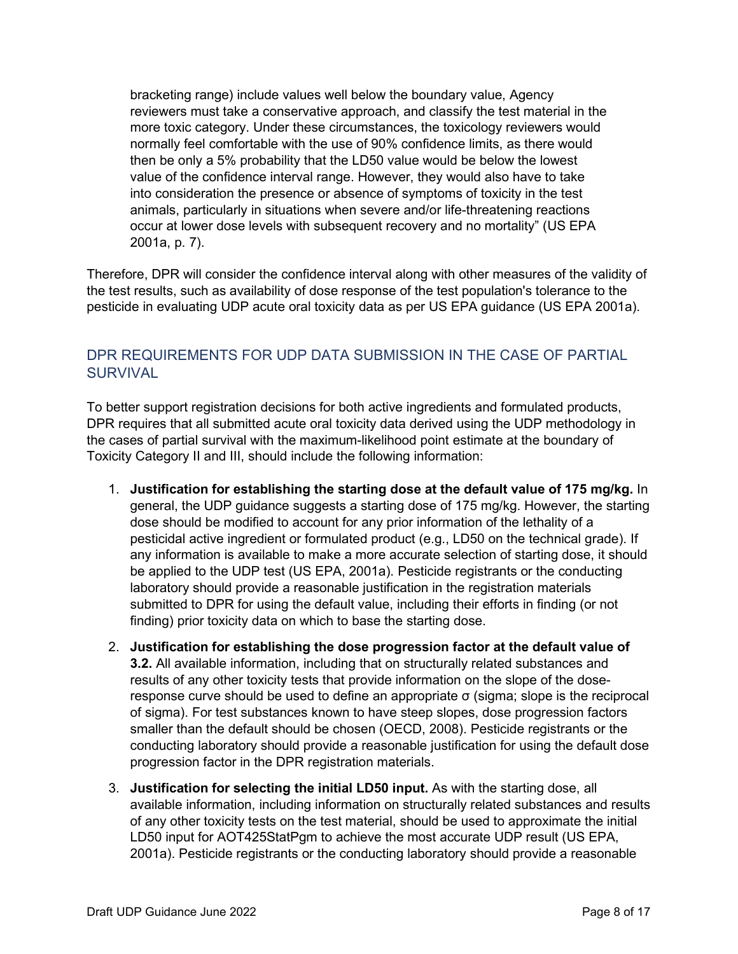bracketing range) include values well below the boundary value, Agency reviewers must take a conservative approach, and classify the test material in the more toxic category. Under these circumstances, the toxicology reviewers would normally feel comfortable with the use of 90% confidence limits, as there would then be only a 5% probability that the LD50 value would be below the lowest value of the confidence interval range. However, they would also have to take into consideration the presence or absence of symptoms of toxicity in the test animals, particularly in situations when severe and/or life-threatening reactions occur at lower dose levels with subsequent recovery and no mortality" (US EPA 2001a, p. 7).

Therefore, DPR will consider the confidence interval along with other measures of the validity of the test results, such as availability of dose response of the test population's tolerance to the pesticide in evaluating UDP acute oral toxicity data as per US EPA guidance (US EPA 2001a).

## DPR REQUIREMENTS FOR UDP DATA SUBMISSION IN THE CASE OF PARTIAL **SURVIVAL**

To better support registration decisions for both active ingredients and formulated products, DPR requires that all submitted acute oral toxicity data derived using the UDP methodology in the cases of partial survival with the maximum-likelihood point estimate at the boundary of Toxicity Category II and III, should include the following information:

- 1. **Justification for establishing the starting dose at the default value of 175 mg/kg.** In general, the UDP guidance suggests a starting dose of 175 mg/kg. However, the starting dose should be modified to account for any prior information of the lethality of a pesticidal active ingredient or formulated product (e.g., LD50 on the technical grade). If any information is available to make a more accurate selection of starting dose, it should be applied to the UDP test (US EPA, 2001a). Pesticide registrants or the conducting laboratory should provide a reasonable justification in the registration materials submitted to DPR for using the default value, including their efforts in finding (or not finding) prior toxicity data on which to base the starting dose.
- 2. **Justification for establishing the dose progression factor at the default value of 3.2.** All available information, including that on structurally related substances and results of any other toxicity tests that provide information on the slope of the doseresponse curve should be used to define an appropriate σ (sigma; slope is the reciprocal of sigma). For test substances known to have steep slopes, dose progression factors smaller than the default should be chosen (OECD, 2008). Pesticide registrants or the conducting laboratory should provide a reasonable justification for using the default dose progression factor in the DPR registration materials.
- 3. **Justification for selecting the initial LD50 input.** As with the starting dose, all available information, including information on structurally related substances and results of any other toxicity tests on the test material, should be used to approximate the initial LD50 input for AOT425StatPgm to achieve the most accurate UDP result (US EPA, 2001a). Pesticide registrants or the conducting laboratory should provide a reasonable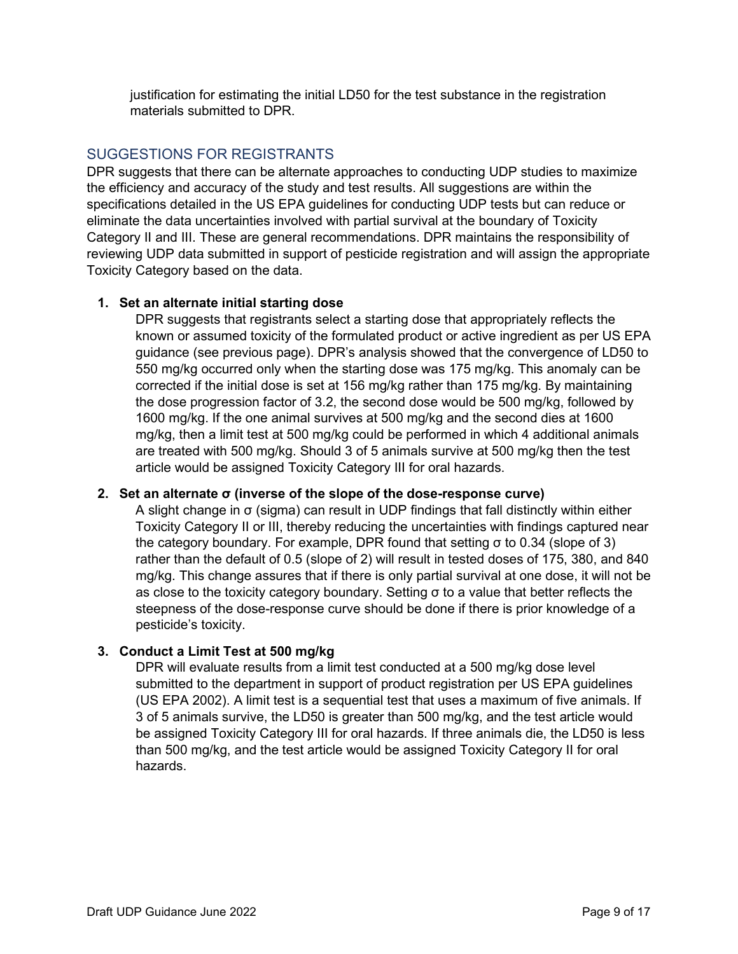justification for estimating the initial LD50 for the test substance in the registration materials submitted to DPR.

## SUGGESTIONS FOR REGISTRANTS

DPR suggests that there can be alternate approaches to conducting UDP studies to maximize the efficiency and accuracy of the study and test results. All suggestions are within the specifications detailed in the US EPA guidelines for conducting UDP tests but can reduce or eliminate the data uncertainties involved with partial survival at the boundary of Toxicity Category II and III. These are general recommendations. DPR maintains the responsibility of reviewing UDP data submitted in support of pesticide registration and will assign the appropriate Toxicity Category based on the data.

## **1. Set an alternate initial starting dose**

DPR suggests that registrants select a starting dose that appropriately reflects the known or assumed toxicity of the formulated product or active ingredient as per US EPA guidance (see previous page). DPR's analysis showed that the convergence of LD50 to 550 mg/kg occurred only when the starting dose was 175 mg/kg. This anomaly can be corrected if the initial dose is set at 156 mg/kg rather than 175 mg/kg. By maintaining the dose progression factor of 3.2, the second dose would be 500 mg/kg, followed by 1600 mg/kg. If the one animal survives at 500 mg/kg and the second dies at 1600 mg/kg, then a limit test at 500 mg/kg could be performed in which 4 additional animals are treated with 500 mg/kg. Should 3 of 5 animals survive at 500 mg/kg then the test article would be assigned Toxicity Category III for oral hazards.

## **2. Set an alternate σ (inverse of the slope of the dose-response curve)**

A slight change in σ (sigma) can result in UDP findings that fall distinctly within either Toxicity Category II or III, thereby reducing the uncertainties with findings captured near the category boundary. For example, DPR found that setting σ to 0.34 (slope of 3) rather than the default of 0.5 (slope of 2) will result in tested doses of 175, 380, and 840 mg/kg. This change assures that if there is only partial survival at one dose, it will not be as close to the toxicity category boundary. Setting σ to a value that better reflects the steepness of the dose-response curve should be done if there is prior knowledge of a pesticide's toxicity.

## **3. Conduct a Limit Test at 500 mg/kg**

DPR will evaluate results from a limit test conducted at a 500 mg/kg dose level submitted to the department in support of product registration per US EPA guidelines (US EPA 2002). A limit test is a sequential test that uses a maximum of five animals. If 3 of 5 animals survive, the LD50 is greater than 500 mg/kg, and the test article would be assigned Toxicity Category III for oral hazards. If three animals die, the LD50 is less than 500 mg/kg, and the test article would be assigned Toxicity Category II for oral hazards.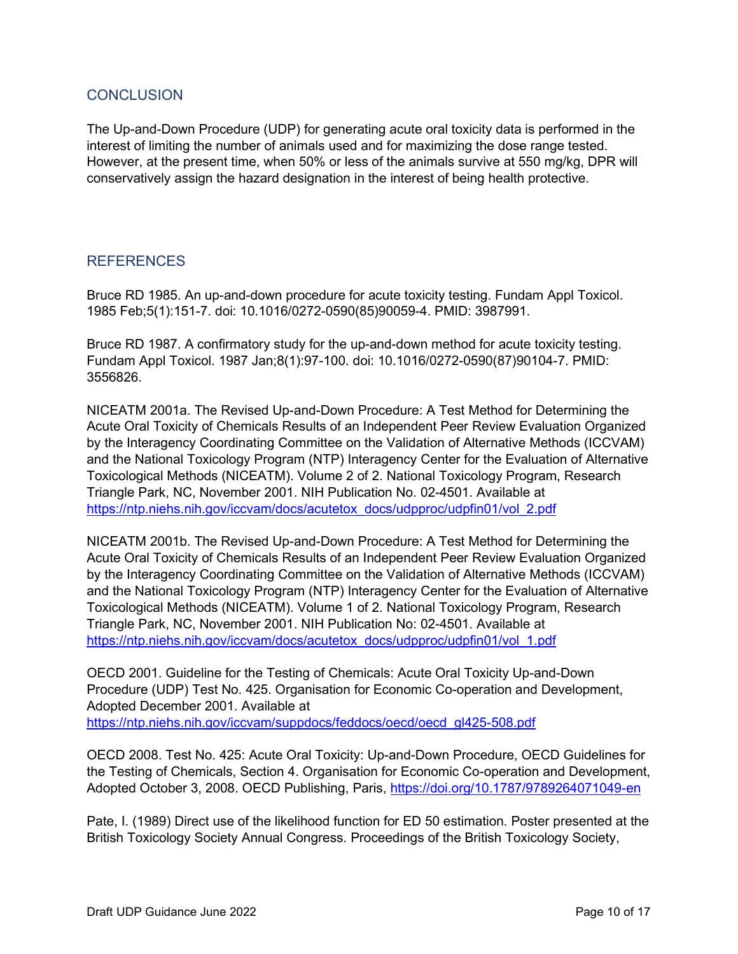## **CONCLUSION**

The Up-and-Down Procedure (UDP) for generating acute oral toxicity data is performed in the interest of limiting the number of animals used and for maximizing the dose range tested. However, at the present time, when 50% or less of the animals survive at 550 mg/kg, DPR will conservatively assign the hazard designation in the interest of being health protective.

## REFERENCES

Bruce RD 1985. An up-and-down procedure for acute toxicity testing. Fundam Appl Toxicol. 1985 Feb;5(1):151-7. doi: 10.1016/0272-0590(85)90059-4. PMID: 3987991.

Bruce RD 1987. A confirmatory study for the up-and-down method for acute toxicity testing. Fundam Appl Toxicol. 1987 Jan;8(1):97-100. doi: 10.1016/0272-0590(87)90104-7. PMID: 3556826.

NICEATM 2001a. The Revised Up-and-Down Procedure: A Test Method for Determining the Acute Oral Toxicity of Chemicals Results of an Independent Peer Review Evaluation Organized by the Interagency Coordinating Committee on the Validation of Alternative Methods (ICCVAM) and the National Toxicology Program (NTP) Interagency Center for the Evaluation of Alternative Toxicological Methods (NICEATM). Volume 2 of 2. National Toxicology Program, Research Triangle Park, NC, November 2001. NIH Publication No. 02-4501. Available at [https://ntp.niehs.nih.gov/iccvam/docs/acutetox\\_docs/udpproc/udpfin01/vol\\_2.pdf](https://ntp.niehs.nih.gov/iccvam/docs/acutetox_docs/udpproc/udpfin01/vol_2.pdf) 

NICEATM 2001b. The Revised Up-and-Down Procedure: A Test Method for Determining the Acute Oral Toxicity of Chemicals Results of an Independent Peer Review Evaluation Organized by the Interagency Coordinating Committee on the Validation of Alternative Methods (ICCVAM) and the National Toxicology Program (NTP) Interagency Center for the Evaluation of Alternative Toxicological Methods (NICEATM). Volume 1 of 2. National Toxicology Program, Research Triangle Park, NC, November 2001. NIH Publication No: 02-4501. Available at [https://ntp.niehs.nih.gov/iccvam/docs/acutetox\\_docs/udpproc/udpfin01/vol\\_1.pdf](https://ntp.niehs.nih.gov/iccvam/docs/acutetox_docs/udpproc/udpfin01/vol_1.pdf) 

OECD 2001. Guideline for the Testing of Chemicals: Acute Oral Toxicity Up-and-Down Procedure (UDP) Test No. 425. Organisation for Economic Co-operation and Development, Adopted December 2001. Available at [https://ntp.niehs.nih.gov/iccvam/suppdocs/feddocs/oecd/oecd\\_gl425-508.pdf](https://ntp.niehs.nih.gov/iccvam/suppdocs/feddocs/oecd/oecd_gl425-508.pdf)

OECD 2008. Test No. 425: Acute Oral Toxicity: Up-and-Down Procedure, OECD Guidelines for the Testing of Chemicals, Section 4. Organisation for Economic Co-operation and Development, Adopted October 3, 2008. OECD Publishing, Paris,<https://doi.org/10.1787/9789264071049-en>

Pate, I. (1989) Direct use of the likelihood function for ED 50 estimation. Poster presented at the British Toxicology Society Annual Congress. Proceedings of the British Toxicology Society,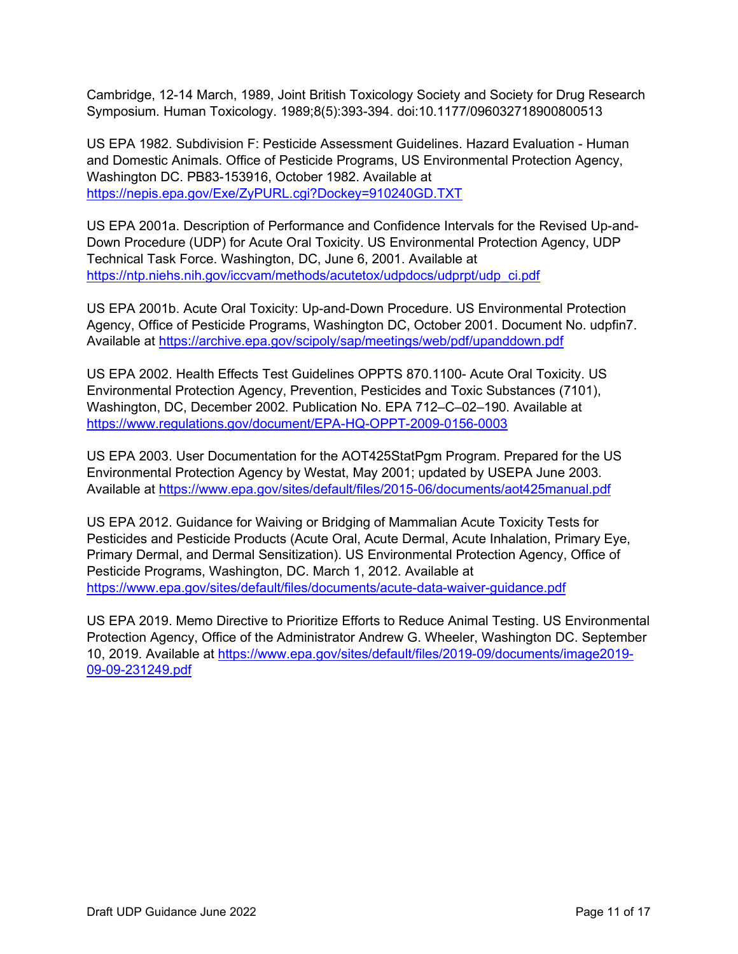Cambridge, 12-14 March, 1989, Joint British Toxicology Society and Society for Drug Research Symposium. Human Toxicology. 1989;8(5):393-394. doi:10.1177/096032718900800513

US EPA 1982. Subdivision F: Pesticide Assessment Guidelines. Hazard Evaluation - Human and Domestic Animals. Office of Pesticide Programs, US Environmental Protection Agency, Washington DC. PB83-153916, October 1982. Available at <https://nepis.epa.gov/Exe/ZyPURL.cgi?Dockey=910240GD.TXT>

US EPA 2001a. Description of Performance and Confidence Intervals for the Revised Up-and-Down Procedure (UDP) for Acute Oral Toxicity. US Environmental Protection Agency, UDP Technical Task Force. Washington, DC, June 6, 2001. Available at [https://ntp.niehs.nih.gov/iccvam/methods/acutetox/udpdocs/udprpt/udp\\_ci.pdf](https://ntp.niehs.nih.gov/iccvam/methods/acutetox/udpdocs/udprpt/udp_ci.pdf) 

US EPA 2001b. Acute Oral Toxicity: Up-and-Down Procedure. US Environmental Protection Agency, Office of Pesticide Programs, Washington DC, October 2001. Document No. udpfin7. Available at<https://archive.epa.gov/scipoly/sap/meetings/web/pdf/upanddown.pdf>

US EPA 2002. Health Effects Test Guidelines OPPTS 870.1100- Acute Oral Toxicity. US Environmental Protection Agency, Prevention, Pesticides and Toxic Substances (7101), Washington, DC, December 2002. Publication No. EPA 712–C–02–190. Available at <https://www.regulations.gov/document/EPA-HQ-OPPT-2009-0156-0003>

US EPA 2003. User Documentation for the AOT425StatPgm Program. Prepared for the US Environmental Protection Agency by Westat, May 2001; updated by USEPA June 2003. Available at<https://www.epa.gov/sites/default/files/2015-06/documents/aot425manual.pdf>

US EPA 2012. Guidance for Waiving or Bridging of Mammalian Acute Toxicity Tests for Pesticides and Pesticide Products (Acute Oral, Acute Dermal, Acute Inhalation, Primary Eye, Primary Dermal, and Dermal Sensitization). US Environmental Protection Agency, Office of Pesticide Programs, Washington, DC. March 1, 2012. Available at <https://www.epa.gov/sites/default/files/documents/acute-data-waiver-guidance.pdf>

US EPA 2019. Memo Directive to Prioritize Efforts to Reduce Animal Testing. US Environmental Protection Agency, Office of the Administrator Andrew G. Wheeler, Washington DC. September 10, 2019. Available at [https://www.epa.gov/sites/default/files/2019-09/documents/image2019-](https://www.epa.gov/sites/default/files/2019-09/documents/image2019-09-09-231249.pdf) [09-09-231249.pdf](https://www.epa.gov/sites/default/files/2019-09/documents/image2019-09-09-231249.pdf)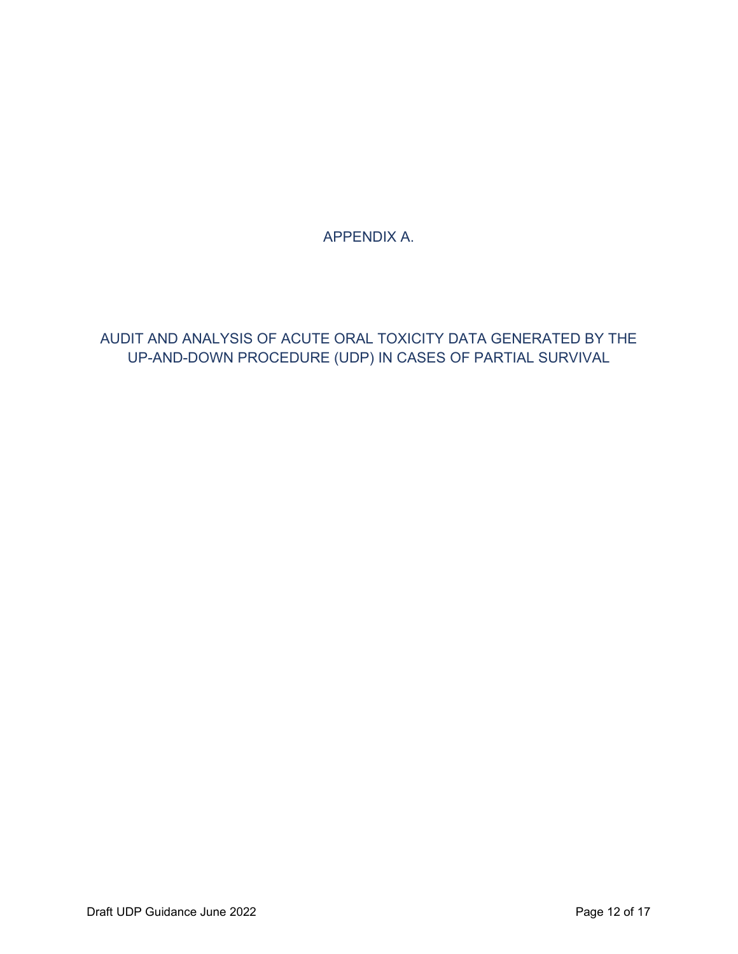APPENDIX A.

AUDIT AND ANALYSIS OF ACUTE ORAL TOXICITY DATA GENERATED BY THE UP-AND-DOWN PROCEDURE (UDP) IN CASES OF PARTIAL SURVIVAL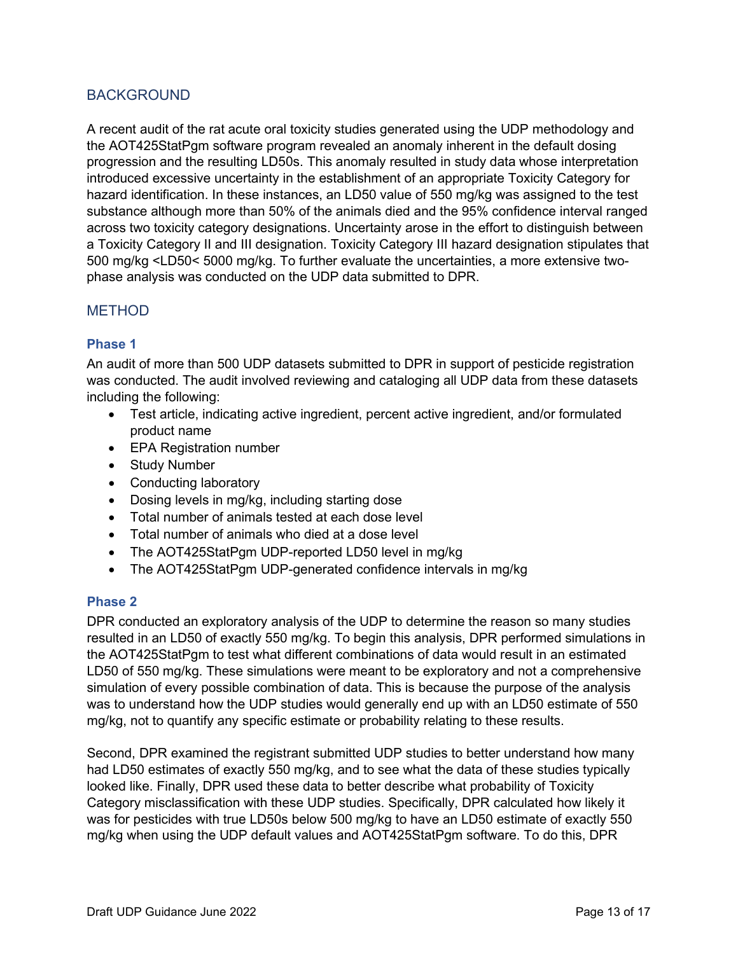## BACKGROUND

A recent audit of the rat acute oral toxicity studies generated using the UDP methodology and the AOT425StatPgm software program revealed an anomaly inherent in the default dosing progression and the resulting LD50s. This anomaly resulted in study data whose interpretation introduced excessive uncertainty in the establishment of an appropriate Toxicity Category for hazard identification. In these instances, an LD50 value of 550 mg/kg was assigned to the test substance although more than 50% of the animals died and the 95% confidence interval ranged across two toxicity category designations. Uncertainty arose in the effort to distinguish between a Toxicity Category II and III designation. Toxicity Category III hazard designation stipulates that 500 mg/kg <LD50< 5000 mg/kg. To further evaluate the uncertainties, a more extensive twophase analysis was conducted on the UDP data submitted to DPR.

## METHOD

#### **Phase 1**

An audit of more than 500 UDP datasets submitted to DPR in support of pesticide registration was conducted. The audit involved reviewing and cataloging all UDP data from these datasets including the following:

- Test article, indicating active ingredient, percent active ingredient, and/or formulated product name
- EPA Registration number
- Study Number
- Conducting laboratory
- Dosing levels in mg/kg, including starting dose
- Total number of animals tested at each dose level
- Total number of animals who died at a dose level
- The AOT425StatPgm UDP-reported LD50 level in mg/kg
- The AOT425StatPgm UDP-generated confidence intervals in ma/ka

#### **Phase 2**

DPR conducted an exploratory analysis of the UDP to determine the reason so many studies resulted in an LD50 of exactly 550 mg/kg. To begin this analysis, DPR performed simulations in the AOT425StatPgm to test what different combinations of data would result in an estimated LD50 of 550 mg/kg. These simulations were meant to be exploratory and not a comprehensive simulation of every possible combination of data. This is because the purpose of the analysis was to understand how the UDP studies would generally end up with an LD50 estimate of 550 mg/kg, not to quantify any specific estimate or probability relating to these results.

Second, DPR examined the registrant submitted UDP studies to better understand how many had LD50 estimates of exactly 550 mg/kg, and to see what the data of these studies typically looked like. Finally, DPR used these data to better describe what probability of Toxicity Category misclassification with these UDP studies. Specifically, DPR calculated how likely it was for pesticides with true LD50s below 500 mg/kg to have an LD50 estimate of exactly 550 mg/kg when using the UDP default values and AOT425StatPgm software. To do this, DPR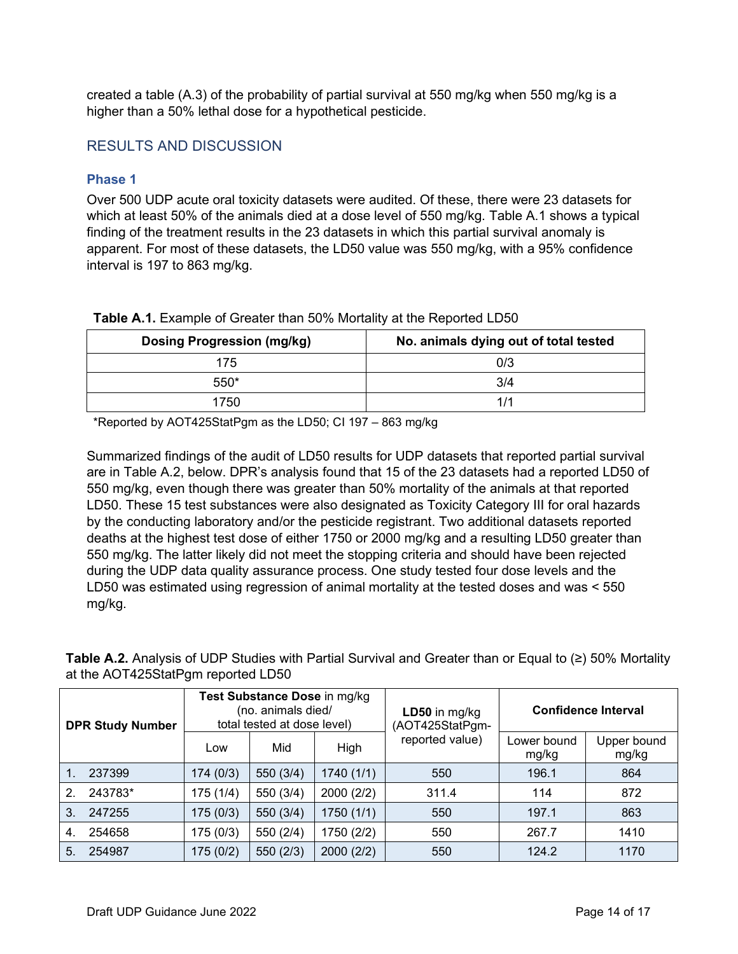created a table (A.3) of the probability of partial survival at 550 mg/kg when 550 mg/kg is a higher than a 50% lethal dose for a hypothetical pesticide.

## RESULTS AND DISCUSSION

#### **Phase 1**

Over 500 UDP acute oral toxicity datasets were audited. Of these, there were 23 datasets for which at least 50% of the animals died at a dose level of 550 mg/kg. Table A.1 shows a typical finding of the treatment results in the 23 datasets in which this partial survival anomaly is apparent. For most of these datasets, the LD50 value was 550 mg/kg, with a 95% confidence interval is 197 to 863 mg/kg.

| <b>Dosing Progression (mg/kg)</b> | No. animals dying out of total tested |
|-----------------------------------|---------------------------------------|
| 175                               | 0/3                                   |
| 550*                              | 3/4                                   |
| 1750                              | 1/1                                   |

#### **Table A.1.** Example of Greater than 50% Mortality at the Reported LD50

\*Reported by AOT425StatPgm as the LD50; CI 197 – 863 mg/kg

Summarized findings of the audit of LD50 results for UDP datasets that reported partial survival are in Table A.2, below. DPR's analysis found that 15 of the 23 datasets had a reported LD50 of 550 mg/kg, even though there was greater than 50% mortality of the animals at that reported LD50. These 15 test substances were also designated as Toxicity Category III for oral hazards by the conducting laboratory and/or the pesticide registrant. Two additional datasets reported deaths at the highest test dose of either 1750 or 2000 mg/kg and a resulting LD50 greater than 550 mg/kg. The latter likely did not meet the stopping criteria and should have been rejected during the UDP data quality assurance process. One study tested four dose levels and the LD50 was estimated using regression of animal mortality at the tested doses and was < 550 mg/kg.

**Table A.2.** Analysis of UDP Studies with Partial Survival and Greater than or Equal to (≥) 50% Mortality at the AOT425StatPgm reported LD50

| <b>DPR Study Number</b> |         |           | Test Substance Dose in mg/kg<br>(no. animals died/<br>total tested at dose level) |            | $LD50$ in mg/kg<br>(AOT425StatPgm- | <b>Confidence Interval</b> |                      |  |  |
|-------------------------|---------|-----------|-----------------------------------------------------------------------------------|------------|------------------------------------|----------------------------|----------------------|--|--|
|                         |         | Low       | Mid                                                                               | High       | reported value)                    | Lower bound<br>mg/kg       | Upper bound<br>mg/kg |  |  |
|                         | 237399  | 174(0/3)  | 550 (3/4)                                                                         | 1740 (1/1) | 550                                | 196.1                      | 864                  |  |  |
| $\mathbf{2}$            | 243783* | 175(1/4)  | 550 (3/4)                                                                         | 2000 (2/2) | 311.4                              | 114                        | 872                  |  |  |
| 3.                      | 247255  | 175(0/3)  | 550 (3/4)                                                                         | 1750 (1/1) | 550                                | 197.1                      | 863                  |  |  |
| 4.                      | 254658  | 175 (0/3) | 550 (2/4)                                                                         | 1750 (2/2) | 550                                | 267.7                      | 1410                 |  |  |
| 5.                      | 254987  | 175 (0/2) | 550 (2/3)                                                                         | 2000 (2/2) | 550                                | 124.2                      | 1170                 |  |  |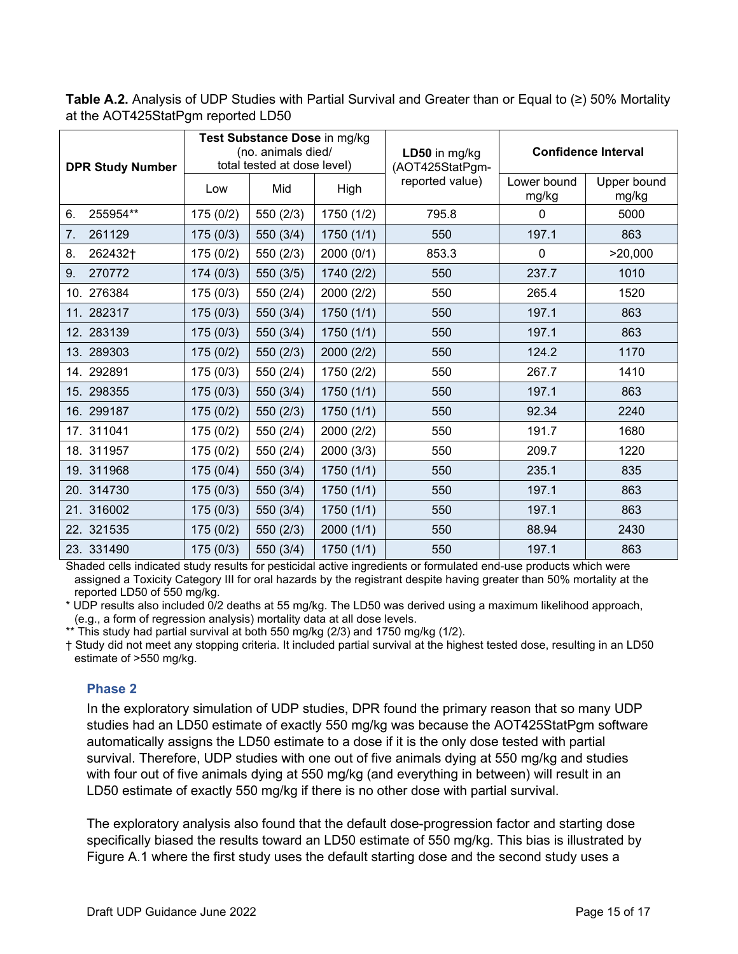**Table A.2.** Analysis of UDP Studies with Partial Survival and Greater than or Equal to (≥) 50% Mortality at the AOT425StatPgm reported LD50

| <b>DPR Study Number</b> |           | Test Substance Dose in mg/kg<br>(no. animals died/<br>total tested at dose level) |            | LD50 in mg/kg<br>(AOT425StatPgm- | <b>Confidence Interval</b> |                      |
|-------------------------|-----------|-----------------------------------------------------------------------------------|------------|----------------------------------|----------------------------|----------------------|
|                         | Low       | Mid                                                                               | High       | reported value)                  | Lower bound<br>mg/kg       | Upper bound<br>mg/kg |
| 255954**<br>6.          | 175(0/2)  | 550 (2/3)                                                                         | 1750 (1/2) | 795.8                            | $\mathbf 0$                | 5000                 |
| 7.<br>261129            | 175(0/3)  | 550 (3/4)                                                                         | 1750(1/1)  | 550                              | 197.1                      | 863                  |
| 8.<br>262432+           | 175(0/2)  | 550 (2/3)                                                                         | 2000 (0/1) | 853.3                            | $\mathbf 0$                | >20,000              |
| 270772<br>9.            | 174(0/3)  | 550 (3/5)                                                                         | 1740 (2/2) | 550                              | 237.7                      | 1010                 |
| 10. 276384              | 175(0/3)  | 550 (2/4)                                                                         | 2000 (2/2) | 550                              | 265.4                      | 1520                 |
| 11. 282317              | 175(0/3)  | 550 (3/4)                                                                         | 1750(1/1)  | 550                              | 197.1                      | 863                  |
| 12. 283139              | 175(0/3)  | 550 (3/4)                                                                         | 1750(1/1)  | 550                              | 197.1                      | 863                  |
| 13. 289303              | 175(0/2)  | 550(2/3)                                                                          | 2000 (2/2) | 550                              | 124.2                      | 1170                 |
| 14. 292891              | 175(0/3)  | 550 (2/4)                                                                         | 1750 (2/2) | 550                              | 267.7                      | 1410                 |
| 15. 298355              | 175(0/3)  | 550 (3/4)                                                                         | 1750(1/1)  | 550                              | 197.1                      | 863                  |
| 16. 299187              | 175(0/2)  | 550(2/3)                                                                          | 1750(1/1)  | 550                              | 92.34                      | 2240                 |
| 17. 311041              | 175 (0/2) | 550 (2/4)                                                                         | 2000 (2/2) | 550                              | 191.7                      | 1680                 |
| 18. 311957              | 175(0/2)  | 550 (2/4)                                                                         | 2000(3/3)  | 550                              | 209.7                      | 1220                 |
| 19. 311968              | 175(0/4)  | 550 (3/4)                                                                         | 1750(1/1)  | 550                              | 235.1                      | 835                  |
| 20. 314730              | 175(0/3)  | 550 (3/4)                                                                         | 1750(1/1)  | 550                              | 197.1                      | 863                  |
| 21. 316002              | 175(0/3)  | 550 (3/4)                                                                         | 1750(1/1)  | 550                              | 197.1                      | 863                  |
| 22. 321535              | 175(0/2)  | 550(2/3)                                                                          | 2000(1/1)  | 550                              | 88.94                      | 2430                 |
| 23. 331490              | 175(0/3)  | 550 (3/4)                                                                         | 1750(1/1)  | 550                              | 197.1                      | 863                  |

Shaded cells indicated study results for pesticidal active ingredients or formulated end-use products which were assigned a Toxicity Category III for oral hazards by the registrant despite having greater than 50% mortality at the reported LD50 of 550 mg/kg.

\* UDP results also included 0/2 deaths at 55 mg/kg. The LD50 was derived using a maximum likelihood approach, (e.g., a form of regression analysis) mortality data at all dose levels.

\*\* This study had partial survival at both 550 mg/kg (2/3) and 1750 mg/kg (1/2).

† Study did not meet any stopping criteria. It included partial survival at the highest tested dose, resulting in an LD50 estimate of >550 mg/kg.

## **Phase 2**

In the exploratory simulation of UDP studies, DPR found the primary reason that so many UDP studies had an LD50 estimate of exactly 550 mg/kg was because the AOT425StatPgm software automatically assigns the LD50 estimate to a dose if it is the only dose tested with partial survival. Therefore, UDP studies with one out of five animals dying at 550 mg/kg and studies with four out of five animals dying at 550 mg/kg (and everything in between) will result in an LD50 estimate of exactly 550 mg/kg if there is no other dose with partial survival.

The exploratory analysis also found that the default dose-progression factor and starting dose specifically biased the results toward an LD50 estimate of 550 mg/kg. This bias is illustrated by Figure A.1 where the first study uses the default starting dose and the second study uses a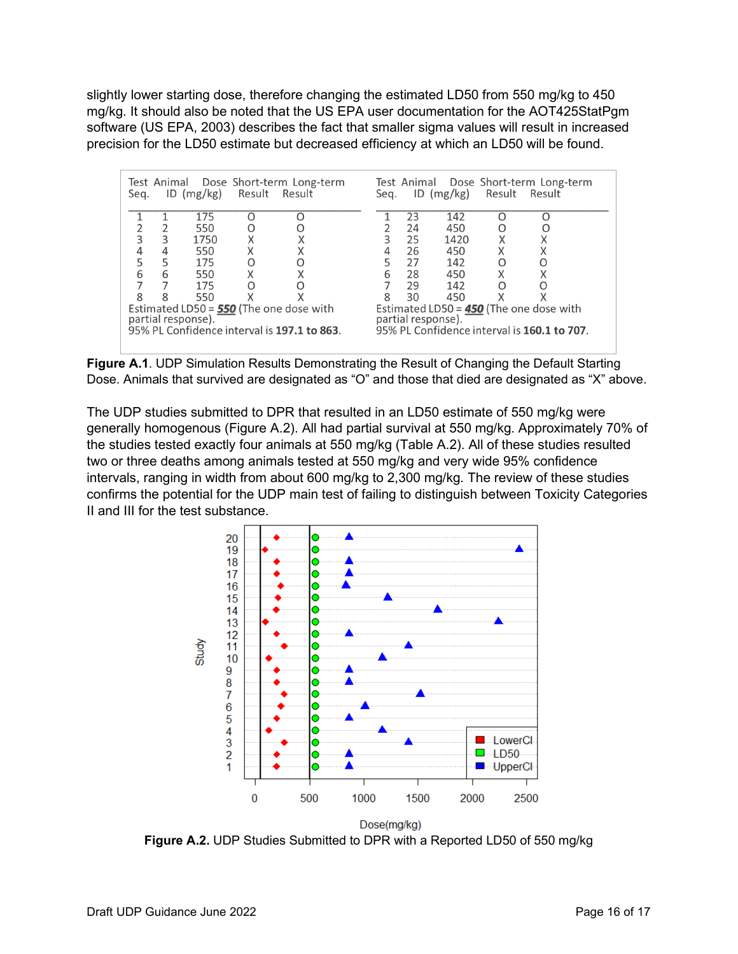slightly lower starting dose, therefore changing the estimated LD50 from 550 mg/kg to 450 mg/kg. It should also be noted that the US EPA user documentation for the AOT425StatPgm software (US EPA, 2003) describes the fact that smaller sigma values will result in increased precision for the LD50 estimate but decreased efficiency at which an LD50 will be found.

| Test Animal Dose Short-term Long-term<br>Result<br>ID $(mg/kg)$<br>Result<br>Seg.                                                                                                                                              |   |      |   |   | Seg. |    | $ID$ (mg/kg) | Result | Test Animal Dose Short-term Long-term<br>Result |
|--------------------------------------------------------------------------------------------------------------------------------------------------------------------------------------------------------------------------------|---|------|---|---|------|----|--------------|--------|-------------------------------------------------|
|                                                                                                                                                                                                                                |   | 175  |   |   |      | 23 | 142          |        |                                                 |
|                                                                                                                                                                                                                                |   | 550  |   |   |      | 24 | 450          | Ω      |                                                 |
| 3                                                                                                                                                                                                                              | 3 | 1750 |   |   | 3    | 25 | 1420         |        | Χ                                               |
| 4                                                                                                                                                                                                                              | 4 | 550  | Χ | Χ | 4    | 26 | 450          | Χ      |                                                 |
| 5                                                                                                                                                                                                                              | 5 | 175  | Ω |   | 5    | 27 | 142          | O      | O                                               |
| 6                                                                                                                                                                                                                              | 6 | 550  | Χ |   | 6    | 28 | 450          | Χ      |                                                 |
|                                                                                                                                                                                                                                |   | 175  |   |   |      | 29 | 142          | Ω      |                                                 |
| 8                                                                                                                                                                                                                              | 8 | 550  |   |   | 8    | 30 | 450          |        |                                                 |
| Estimated LD50 = 450 (The one dose with<br>Estimated LD50 = $550$ (The one dose with<br>partial response).<br>partial response).<br>95% PL Confidence interval is 160.1 to 707.<br>95% PL Confidence interval is 197.1 to 863. |   |      |   |   |      |    |              |        |                                                 |

Figure A.1. UDP Simulation Results Demonstrating the Result of Changing the Default Starting Dose. Animals that survived are designated as "O" and those that died are designated as "X" above.

The UDP studies submitted to DPR that resulted in an LD50 estimate of 550 mg/kg were generally homogenous (Figure A.2). All had partial survival at 550 mg/kg. Approximately 70% of the studies tested exactly four animals at 550 mg/kg (Table A.2). All of these studies resulted two or three deaths among animals tested at 550 mg/kg and very wide 95% confidence intervals, ranging in width from about 600 mg/kg to 2,300 mg/kg. The review of these studies confirms the potential for the UDP main test of failing to distinguish between Toxicity Categories II and III for the test substance.



**Figure A.2.** UDP Studies Submitted to DPR with a Reported LD50 of 550 mg/kg